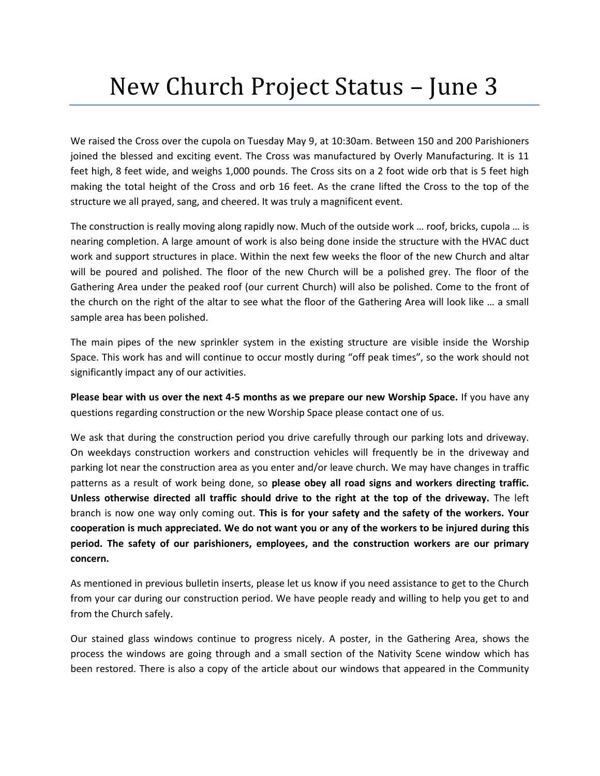## New Church Project Status – June 3

We raised the Cross over the cupola on Tuesday May 9, at 10:30am. Between 150 and 200 Parishioners joined the blessed and exciting event. The Cross was manufactured by Overly Manufacturing. It is 11 feet high, 8 feet wide, and weighs 1,000 pounds. The Cross sits on a 2 foot wide orb that is 5 feet high making the total height of the Cross and orb 16 feet. As the crane lifted the Cross to the top of the structure we all prayed, sang, and cheered. It was truly a magnificent event.

The construction is really moving along rapidly now. Much of the outside work … roof, bricks, cupola … is nearing completion. A large amount of work is also being done inside the structure with the HVAC duct work and support structures in place. Within the next few weeks the floor of the new Church and altar will be poured and polished. The floor of the new Church will be a polished grey. The floor of the Gathering Area under the peaked roof (our current Church) will also be polished. Come to the front of the church on the right of the altar to see what the floor of the Gathering Area will look like … a small sample area has been polished.

The main pipes of the new sprinkler system in the existing structure are visible inside the Worship Space. This work has and will continue to occur mostly during "off peak times", so the work should not significantly impact any of our activities.

**Please bear with us over the next 4-5 months as we prepare our new Worship Space.** If you have any questions regarding construction or the new Worship Space please contact one of us.

We ask that during the construction period you drive carefully through our parking lots and driveway. On weekdays construction workers and construction vehicles will frequently be in the driveway and parking lot near the construction area as you enter and/or leave church. We may have changes in traffic patterns as a result of work being done, so **please obey all road signs and workers directing traffic. Unless otherwise directed all traffic should drive to the right at the top of the driveway.** The left branch is now one way only coming out. **This is for your safety and the safety of the workers. Your cooperation is much appreciated. We do not want you or any of the workers to be injured during this period. The safety of our parishioners, employees, and the construction workers are our primary concern.**

As mentioned in previous bulletin inserts, please let us know if you need assistance to get to the Church from your car during our construction period. We have people ready and willing to help you get to and from the Church safely.

Our stained glass windows continue to progress nicely. A poster, in the Gathering Area, shows the process the windows are going through and a small section of the Nativity Scene window which has been restored. There is also a copy of the article about our windows that appeared in the Community